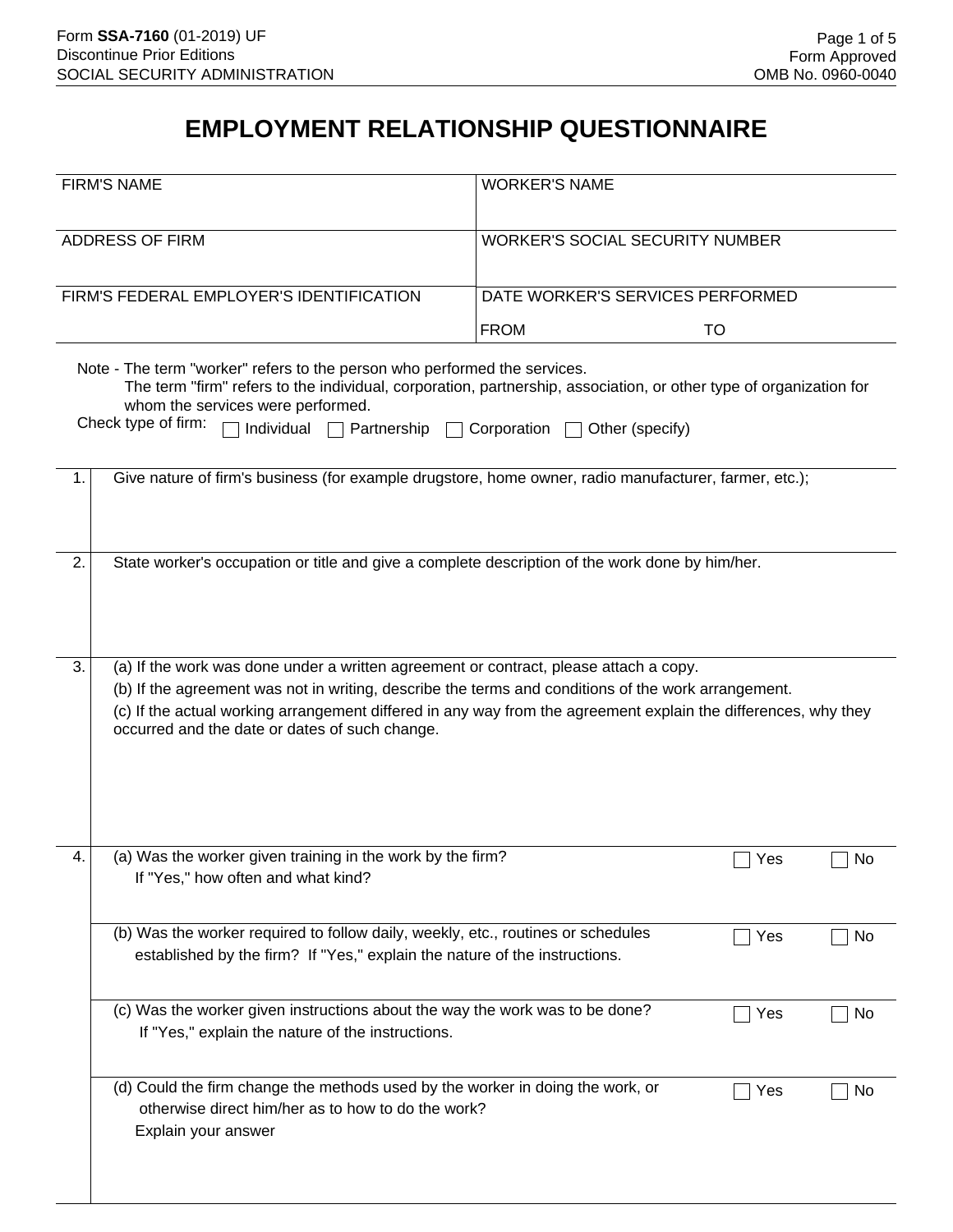## **EMPLOYMENT RELATIONSHIP QUESTIONNAIRE**

|                                          | <b>FIRM'S NAME</b>                                                                                                                                                                                                                                                                                                                                               | <b>WORKER'S NAME</b>                  |     |    |
|------------------------------------------|------------------------------------------------------------------------------------------------------------------------------------------------------------------------------------------------------------------------------------------------------------------------------------------------------------------------------------------------------------------|---------------------------------------|-----|----|
| <b>ADDRESS OF FIRM</b>                   |                                                                                                                                                                                                                                                                                                                                                                  | WORKER'S SOCIAL SECURITY NUMBER       |     |    |
| FIRM'S FEDERAL EMPLOYER'S IDENTIFICATION |                                                                                                                                                                                                                                                                                                                                                                  | DATE WORKER'S SERVICES PERFORMED      |     |    |
|                                          |                                                                                                                                                                                                                                                                                                                                                                  | <b>FROM</b>                           | TO  |    |
|                                          | Note - The term "worker" refers to the person who performed the services.<br>The term "firm" refers to the individual, corporation, partnership, association, or other type of organization for<br>whom the services were performed.<br>Check type of firm:<br>Individual $\Box$<br>Partnership $\Box$                                                           | Corporation $\Box$<br>Other (specify) |     |    |
| 1.                                       | Give nature of firm's business (for example drugstore, home owner, radio manufacturer, farmer, etc.);                                                                                                                                                                                                                                                            |                                       |     |    |
| 2.                                       | State worker's occupation or title and give a complete description of the work done by him/her.                                                                                                                                                                                                                                                                  |                                       |     |    |
| 3.                                       | (a) If the work was done under a written agreement or contract, please attach a copy.<br>(b) If the agreement was not in writing, describe the terms and conditions of the work arrangement.<br>(c) If the actual working arrangement differed in any way from the agreement explain the differences, why they<br>occurred and the date or dates of such change. |                                       |     |    |
| 4.                                       | (a) Was the worker given training in the work by the firm?<br>If "Yes," how often and what kind?                                                                                                                                                                                                                                                                 |                                       | Yes | No |
|                                          | (b) Was the worker required to follow daily, weekly, etc., routines or schedules<br>established by the firm? If "Yes," explain the nature of the instructions.                                                                                                                                                                                                   |                                       | Yes | No |
|                                          | (c) Was the worker given instructions about the way the work was to be done?<br>If "Yes," explain the nature of the instructions.                                                                                                                                                                                                                                |                                       | Yes | No |
|                                          | (d) Could the firm change the methods used by the worker in doing the work, or<br>otherwise direct him/her as to how to do the work?<br>Explain your answer                                                                                                                                                                                                      |                                       | Yes | No |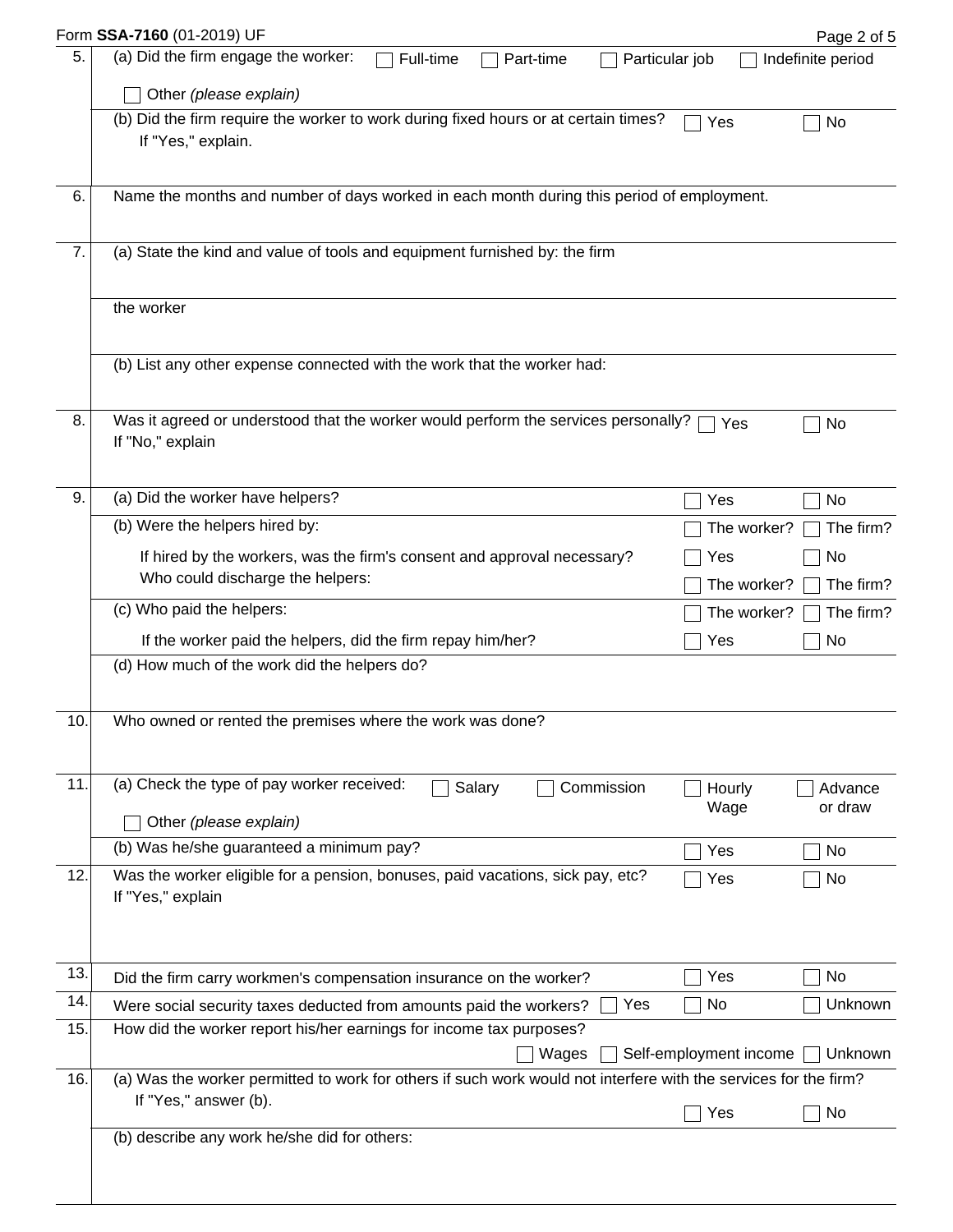|     | Form SSA-7160 (01-2019) UF                                                                                       |                        | Page 2 of 5        |
|-----|------------------------------------------------------------------------------------------------------------------|------------------------|--------------------|
| 5.  | (a) Did the firm engage the worker:<br>Full-time<br>Part-time                                                    | Particular job         | Indefinite period  |
|     | Other (please explain)                                                                                           |                        |                    |
|     | (b) Did the firm require the worker to work during fixed hours or at certain times?<br>If "Yes," explain.        | Yes                    | No                 |
| 6.  | Name the months and number of days worked in each month during this period of employment.                        |                        |                    |
|     |                                                                                                                  |                        |                    |
| 7.  | (a) State the kind and value of tools and equipment furnished by: the firm                                       |                        |                    |
|     | the worker                                                                                                       |                        |                    |
|     | (b) List any other expense connected with the work that the worker had:                                          |                        |                    |
| 8.  | Was it agreed or understood that the worker would perform the services personally?<br>If "No," explain           | Yes                    | No                 |
| 9.  | (a) Did the worker have helpers?                                                                                 | Yes                    | No                 |
|     | (b) Were the helpers hired by:                                                                                   | The worker?            | The firm?          |
|     | If hired by the workers, was the firm's consent and approval necessary?                                          | Yes                    | No                 |
|     | Who could discharge the helpers:                                                                                 | The worker?            | The firm?          |
|     | (c) Who paid the helpers:                                                                                        | The worker?            | The firm?          |
|     | If the worker paid the helpers, did the firm repay him/her?                                                      | Yes                    | No                 |
|     | (d) How much of the work did the helpers do?                                                                     |                        |                    |
| 10. | Who owned or rented the premises where the work was done?                                                        |                        |                    |
| 11. | (a) Check the type of pay worker received:<br>Salary<br>Commission                                               | Hourly<br>Wage         | Advance<br>or draw |
|     | Other (please explain)                                                                                           |                        |                    |
|     | (b) Was he/she guaranteed a minimum pay?                                                                         | Yes                    | No                 |
| 12. | Was the worker eligible for a pension, bonuses, paid vacations, sick pay, etc?<br>If "Yes," explain              | Yes                    | No                 |
| 13. | Did the firm carry workmen's compensation insurance on the worker?                                               | Yes                    | No                 |
| 14. | Yes<br>Were social security taxes deducted from amounts paid the workers?                                        | No                     | Unknown            |
| 15. | How did the worker report his/her earnings for income tax purposes?<br>Wages                                     | Self-employment income | Unknown            |
| 16. | (a) Was the worker permitted to work for others if such work would not interfere with the services for the firm? |                        |                    |
|     | If "Yes," answer (b).                                                                                            | Yes                    | No                 |
|     | (b) describe any work he/she did for others:                                                                     |                        |                    |
|     |                                                                                                                  |                        |                    |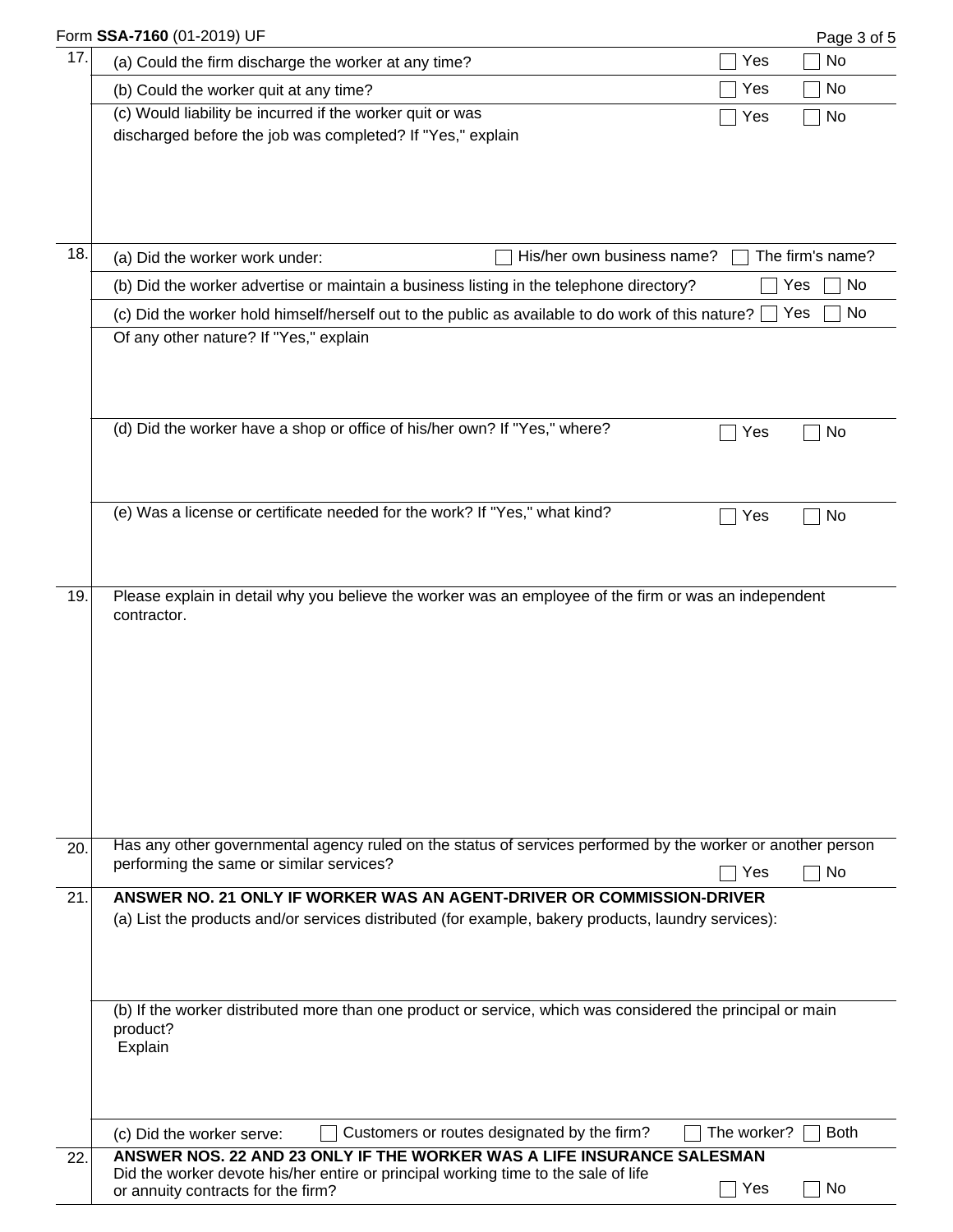|     | Form SSA-7160 (01-2019) UF                                                                                                                                   |             | Page 3 of 5      |
|-----|--------------------------------------------------------------------------------------------------------------------------------------------------------------|-------------|------------------|
| 17. | (a) Could the firm discharge the worker at any time?                                                                                                         | Yes         | No               |
|     | (b) Could the worker quit at any time?                                                                                                                       | Yes         | No               |
|     | (c) Would liability be incurred if the worker quit or was                                                                                                    | Yes         | No               |
|     | discharged before the job was completed? If "Yes," explain                                                                                                   |             |                  |
|     |                                                                                                                                                              |             |                  |
|     |                                                                                                                                                              |             |                  |
|     |                                                                                                                                                              |             |                  |
| 18. | His/her own business name?<br>(a) Did the worker work under:                                                                                                 |             | The firm's name? |
|     | (b) Did the worker advertise or maintain a business listing in the telephone directory?                                                                      |             | No<br>Yes        |
|     | (c) Did the worker hold himself/herself out to the public as available to do work of this nature?                                                            |             | No<br>Yes        |
|     | Of any other nature? If "Yes," explain                                                                                                                       |             |                  |
|     |                                                                                                                                                              |             |                  |
|     |                                                                                                                                                              |             |                  |
|     |                                                                                                                                                              |             |                  |
|     | (d) Did the worker have a shop or office of his/her own? If "Yes," where?                                                                                    | Yes         | No               |
|     |                                                                                                                                                              |             |                  |
|     |                                                                                                                                                              |             |                  |
|     | (e) Was a license or certificate needed for the work? If "Yes," what kind?                                                                                   | Yes         | No               |
|     |                                                                                                                                                              |             |                  |
|     |                                                                                                                                                              |             |                  |
| 19. | Please explain in detail why you believe the worker was an employee of the firm or was an independent                                                        |             |                  |
|     | contractor.                                                                                                                                                  |             |                  |
|     |                                                                                                                                                              |             |                  |
|     |                                                                                                                                                              |             |                  |
|     |                                                                                                                                                              |             |                  |
|     |                                                                                                                                                              |             |                  |
|     |                                                                                                                                                              |             |                  |
|     |                                                                                                                                                              |             |                  |
|     |                                                                                                                                                              |             |                  |
|     |                                                                                                                                                              |             |                  |
| 20. | Has any other governmental agency ruled on the status of services performed by the worker or another person                                                  |             |                  |
|     | performing the same or similar services?                                                                                                                     | Yes         | <b>No</b>        |
| 21. | ANSWER NO. 21 ONLY IF WORKER WAS AN AGENT-DRIVER OR COMMISSION-DRIVER                                                                                        |             |                  |
|     | (a) List the products and/or services distributed (for example, bakery products, laundry services):                                                          |             |                  |
|     |                                                                                                                                                              |             |                  |
|     |                                                                                                                                                              |             |                  |
|     |                                                                                                                                                              |             |                  |
|     | (b) If the worker distributed more than one product or service, which was considered the principal or main                                                   |             |                  |
|     | product?<br>Explain                                                                                                                                          |             |                  |
|     |                                                                                                                                                              |             |                  |
|     |                                                                                                                                                              |             |                  |
|     |                                                                                                                                                              |             |                  |
|     | Customers or routes designated by the firm?<br>(c) Did the worker serve:                                                                                     | The worker? | <b>Both</b>      |
| 22. | ANSWER NOS. 22 AND 23 ONLY IF THE WORKER WAS A LIFE INSURANCE SALESMAN<br>Did the worker devote his/her entire or principal working time to the sale of life |             |                  |
|     | or annuity contracts for the firm?                                                                                                                           | Yes         | No               |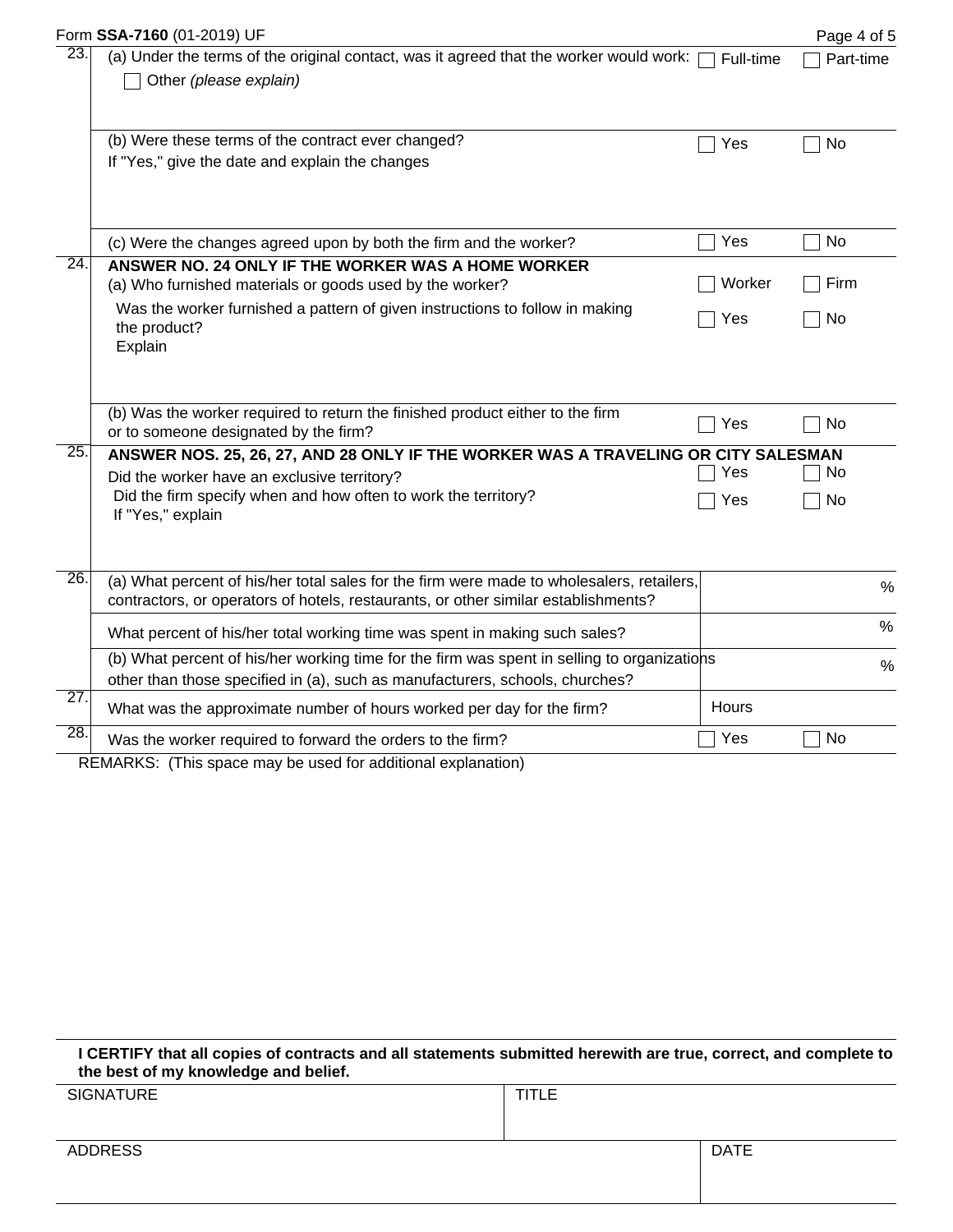|                   | Form SSA-7160 (01-2019) UF                                                                                                                                                      |           | Page 4 of 5   |  |
|-------------------|---------------------------------------------------------------------------------------------------------------------------------------------------------------------------------|-----------|---------------|--|
| 23.               | (a) Under the terms of the original contact, was it agreed that the worker would work:<br>Other (please explain)                                                                | Full-time | Part-time     |  |
|                   | (b) Were these terms of the contract ever changed?<br>If "Yes," give the date and explain the changes                                                                           | Yes       | No            |  |
|                   | (c) Were the changes agreed upon by both the firm and the worker?                                                                                                               | Yes       | No            |  |
| $\overline{24}$ . | ANSWER NO. 24 ONLY IF THE WORKER WAS A HOME WORKER<br>(a) Who furnished materials or goods used by the worker?                                                                  | Worker    | Firm          |  |
|                   | Was the worker furnished a pattern of given instructions to follow in making<br>the product?<br>Explain                                                                         | Yes       | No            |  |
|                   | (b) Was the worker required to return the finished product either to the firm<br>or to someone designated by the firm?                                                          | Yes       | No            |  |
| 25.               | ANSWER NOS. 25, 26, 27, AND 28 ONLY IF THE WORKER WAS A TRAVELING OR CITY SALESMAN                                                                                              |           |               |  |
|                   | Did the worker have an exclusive territory?                                                                                                                                     | Yes       | No            |  |
|                   | Did the firm specify when and how often to work the territory?<br>If "Yes," explain                                                                                             | Yes       | No            |  |
| $\overline{26}$ . | (a) What percent of his/her total sales for the firm were made to wholesalers, retailers,<br>contractors, or operators of hotels, restaurants, or other similar establishments? |           | %             |  |
|                   |                                                                                                                                                                                 |           | $\%$          |  |
|                   | What percent of his/her total working time was spent in making such sales?                                                                                                      |           |               |  |
|                   | (b) What percent of his/her working time for the firm was spent in selling to organizations<br>other than those specified in (a), such as manufacturers, schools, churches?     |           | $\frac{0}{0}$ |  |
| $\overline{27}$ . | What was the approximate number of hours worked per day for the firm?                                                                                                           | Hours     |               |  |
| $\overline{28}$ . | Was the worker required to forward the orders to the firm?                                                                                                                      | Yes       | No            |  |
|                   | $DTMADIC,$ (This anges may be used for additional evaluation)                                                                                                                   |           |               |  |

REMARKS: (This space may be used for additional explanation)

**I CERTIFY that all copies of contracts and all statements submitted herewith are true, correct, and complete to the best of my knowledge and belief.**

| SIGNATURE      | <b>TITLE</b> |             |
|----------------|--------------|-------------|
| <b>ADDRESS</b> |              | <b>DATE</b> |